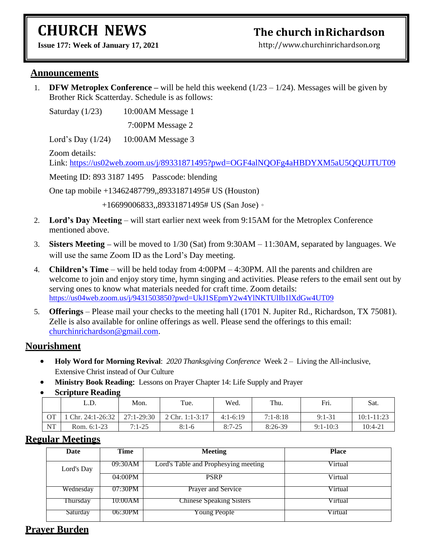# **CHURCH NEWS**

## **The church inRichardson**

**Issue 177: Week of January 17, 2021** 

[http://www.churchinrichardson.org](http://www.churchinrichardson.org/)

#### **Announcements**

1. **DFW Metroplex Conference** – will be held this weekend  $(1/23 - 1/24)$ . Messages will be given by Brother Rick Scatterday. Schedule is as follows:

Saturday (1/23) 10:00AM Message 1

7:00PM Message 2

Lord's Day (1/24) 10:00AM Message 3

Zoom details:

Link:<https://us02web.zoom.us/j/89331871495?pwd=OGF4alNQOFg4aHBDYXM5aU5QQUJTUT09>

Meeting ID: 893 3187 1495 Passcode: blending

One tap mobile +13462487799,,89331871495# US (Houston)

+16699006833,,89331871495# US (San Jose)。

- 2. **Lord's Day Meeting** will start earlier next week from 9:15AM for the Metroplex Conference mentioned above.
- 3. **Sisters Meeting** will be moved to 1/30 (Sat) from 9:30AM 11:30AM, separated by languages. We will use the same Zoom ID as the Lord's Day meeting.
- 4. **Children's Time** will be held today from 4:00PM 4:30PM. All the parents and children are welcome to join and enjoy story time, hymn singing and activities. Please refers to the email sent out by serving ones to know what materials needed for craft time. Zoom details: <https://us04web.zoom.us/j/9431503850?pwd=UkJ1SEpmY2w4YlNKTUlIb1lXdGw4UT09>
- 5. **Offerings** Please mail your checks to the meeting hall (1701 N. Jupiter Rd., Richardson, TX 75081). Zelle is also available for online offerings as well. Please send the offerings to this email: [churchinrichardson@gmail.com.](mailto:churchinrichardson@gmail.com)

#### **Nourishment**

- **Holy Word for Morning Revival**: *2020 Thanksgiving Conference* Week 2 Living the All-inclusive, Extensive Christ instead of Our Culture
- **Ministry Book Reading:** Lessons on Prayer Chapter 14: Life Supply and Prayer
- **Scripture Reading**

|           | L.D.              | -<br>Mon.      | Tue.            | Wed.       | Thu.         | Fri.         | Sat.           |
|-----------|-------------------|----------------|-----------------|------------|--------------|--------------|----------------|
| <b>OT</b> | Chr. $24:1-26:32$ | $27:1 - 29:30$ | 2 Chr. 1:1-3:17 | $4:1-6:19$ | $7:1 - 8:18$ | $9:1 - 31$   | $10:1 - 11:23$ |
| <b>NT</b> | Rom. 6:1-23       | $7:1-25$       | $8:1-6$         | $8:7-25$   | 8:26-39      | $9:1 - 10:3$ | $10:4-21$      |

#### **Regular Meetings**

| Date       | Time    | <b>Meeting</b>                       | <b>Place</b> |
|------------|---------|--------------------------------------|--------------|
| Lord's Day | 09:30AM | Lord's Table and Prophesying meeting | Virtual      |
|            | 04:00PM | <b>PSRP</b>                          | Virtual      |
| Wednesday  | 07:30PM | <b>Prayer and Service</b>            | Virtual      |
| Thursday   | 10:00AM | <b>Chinese Speaking Sisters</b>      | Virtual      |
| Saturday   | 06:30PM | Young People                         | Virtual      |

### **Prayer Burden**